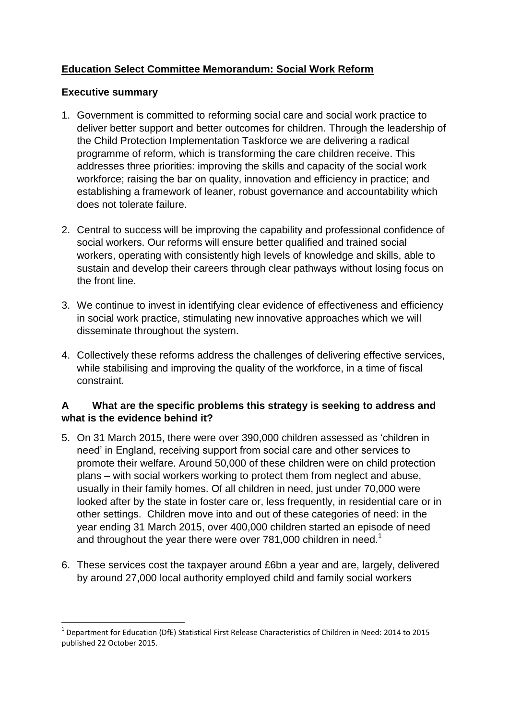# **Education Select Committee Memorandum: Social Work Reform**

## **Executive summary**

**.** 

- 1. Government is committed to reforming social care and social work practice to deliver better support and better outcomes for children. Through the leadership of the Child Protection Implementation Taskforce we are delivering a radical programme of reform, which is transforming the care children receive. This addresses three priorities: improving the skills and capacity of the social work workforce; raising the bar on quality, innovation and efficiency in practice; and establishing a framework of leaner, robust governance and accountability which does not tolerate failure.
- 2. Central to success will be improving the capability and professional confidence of social workers. Our reforms will ensure better qualified and trained social workers, operating with consistently high levels of knowledge and skills, able to sustain and develop their careers through clear pathways without losing focus on the front line.
- 3. We continue to invest in identifying clear evidence of effectiveness and efficiency in social work practice, stimulating new innovative approaches which we will disseminate throughout the system.
- 4. Collectively these reforms address the challenges of delivering effective services, while stabilising and improving the quality of the workforce, in a time of fiscal constraint.

# **A What are the specific problems this strategy is seeking to address and what is the evidence behind it?**

- 5. On 31 March 2015, there were over 390,000 children assessed as 'children in need' in England, receiving support from social care and other services to promote their welfare. Around 50,000 of these children were on child protection plans – with social workers working to protect them from neglect and abuse, usually in their family homes. Of all children in need, just under 70,000 were looked after by the state in foster care or, less frequently, in residential care or in other settings. Children move into and out of these categories of need: in the year ending 31 March 2015, over 400,000 children started an episode of need and throughout the year there were over 781,000 children in need.<sup>1</sup>
- 6. These services cost the taxpayer around £6bn a year and are, largely, delivered by around 27,000 local authority employed child and family social workers

<sup>&</sup>lt;sup>1</sup> Department for Education (DfE) Statistical First Release Characteristics of Children in Need: 2014 to 2015 published 22 October 2015.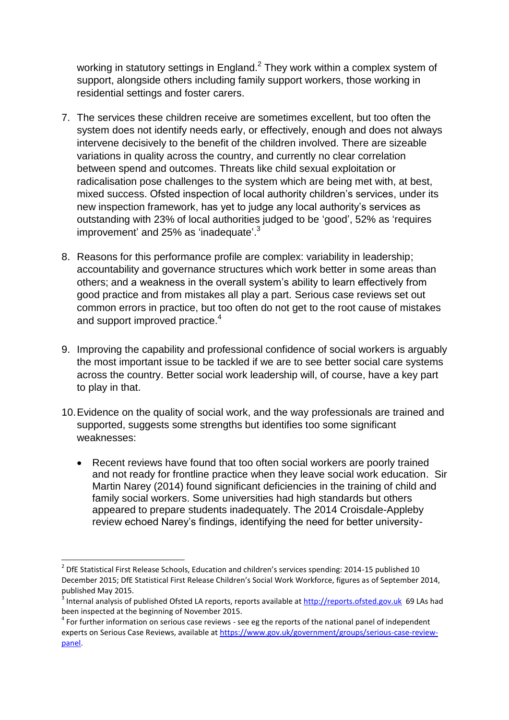working in statutory settings in England. $<sup>2</sup>$  They work within a complex system of</sup> support, alongside others including family support workers, those working in residential settings and foster carers.

- 7. The services these children receive are sometimes excellent, but too often the system does not identify needs early, or effectively, enough and does not always intervene decisively to the benefit of the children involved. There are sizeable variations in quality across the country, and currently no clear correlation between spend and outcomes. Threats like child sexual exploitation or radicalisation pose challenges to the system which are being met with, at best, mixed success. Ofsted inspection of local authority children's services, under its new inspection framework, has yet to judge any local authority's services as outstanding with 23% of local authorities judged to be 'good', 52% as 'requires improvement' and 25% as 'inadequate'.<sup>3</sup>
- 8. Reasons for this performance profile are complex: variability in leadership; accountability and governance structures which work better in some areas than others; and a weakness in the overall system's ability to learn effectively from good practice and from mistakes all play a part. Serious case reviews set out common errors in practice, but too often do not get to the root cause of mistakes and support improved practice.<sup>4</sup>
- 9. Improving the capability and professional confidence of social workers is arguably the most important issue to be tackled if we are to see better social care systems across the country. Better social work leadership will, of course, have a key part to play in that.
- 10.Evidence on the quality of social work, and the way professionals are trained and supported, suggests some strengths but identifies too some significant weaknesses:
	- Recent reviews have found that too often social workers are poorly trained and not ready for frontline practice when they leave social work education. Sir Martin Narey (2014) found significant deficiencies in the training of child and family social workers. Some universities had high standards but others appeared to prepare students inadequately. The 2014 Croisdale-Appleby review echoed Narey's findings, identifying the need for better university-

 2 DfE Statistical First Release Schools, Education and children's services spending: 2014-15 published 10 December 2015; DfE Statistical First Release Children's Social Work Workforce, figures as of September 2014, published May 2015.

<sup>&</sup>lt;sup>3</sup> Internal analysis of published Ofsted LA reports, reports available at [http://reports.ofsted.gov.uk](http://reports.ofsted.gov.uk/) 69 LAs had been inspected at the beginning of November 2015.

 $4$  For further information on serious case reviews - see eg the reports of the national panel of independent experts on Serious Case Reviews, available at [https://www.gov.uk/government/groups/serious-case-review](https://www.gov.uk/government/groups/serious-case-review-panel)[panel.](https://www.gov.uk/government/groups/serious-case-review-panel)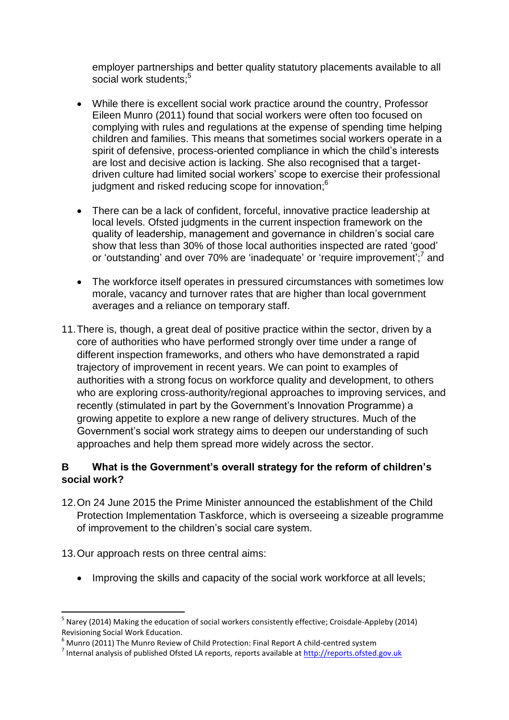employer partnerships and better quality statutory placements available to all social work students;<sup>5</sup>

- While there is excellent social work practice around the country, Professor Eileen Munro (2011) found that social workers were often too focused on complying with rules and regulations at the expense of spending time helping children and families. This means that sometimes social workers operate in a spirit of defensive, process-oriented compliance in which the child's interests are lost and decisive action is lacking. She also recognised that a targetdriven culture had limited social workers' scope to exercise their professional judgment and risked reducing scope for innovation;<sup>6</sup>
- There can be a lack of confident, forceful, innovative practice leadership at local levels. Ofsted judgments in the current inspection framework on the quality of leadership, management and governance in children's social care show that less than 30% of those local authorities inspected are rated 'good' or 'outstanding' and over 70% are 'inadequate' or 'require improvement';<sup>7</sup> and
- The workforce itself operates in pressured circumstances with sometimes low morale, vacancy and turnover rates that are higher than local government averages and a reliance on temporary staff.
- 11.There is, though, a great deal of positive practice within the sector, driven by a core of authorities who have performed strongly over time under a range of different inspection frameworks, and others who have demonstrated a rapid trajectory of improvement in recent years. We can point to examples of authorities with a strong focus on workforce quality and development, to others who are exploring cross-authority/regional approaches to improving services, and recently (stimulated in part by the Government's Innovation Programme) a growing appetite to explore a new range of delivery structures. Much of the Government's social work strategy aims to deepen our understanding of such approaches and help them spread more widely across the sector.

# **B What is the Government's overall strategy for the reform of children's social work?**

- 12.On 24 June 2015 the Prime Minister announced the establishment of the Child Protection Implementation Taskforce, which is overseeing a sizeable programme of improvement to the children's social care system.
- 13.Our approach rests on three central aims:

**.** 

• Improving the skills and capacity of the social work workforce at all levels;

<sup>&</sup>lt;sup>5</sup> Narey (2014) Making the education of social workers consistently effective; Croisdale-Appleby (2014) Revisioning Social Work Education.

 $6$  Munro (2011) The Munro Review of Child Protection: Final Report A child-centred system

<sup>&</sup>lt;sup>7</sup> Internal analysis of published Ofsted LA reports, reports available at [http://reports.ofsted.gov.uk](http://reports.ofsted.gov.uk/)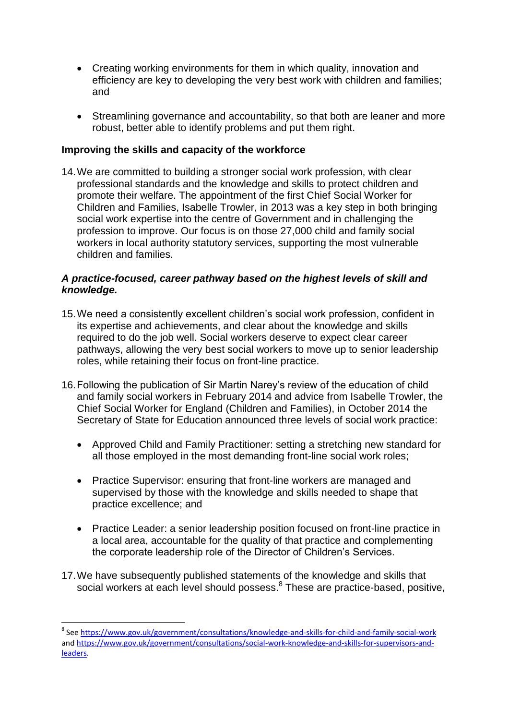- Creating working environments for them in which quality, innovation and efficiency are key to developing the very best work with children and families; and
- Streamlining governance and accountability, so that both are leaner and more robust, better able to identify problems and put them right.

#### **Improving the skills and capacity of the workforce**

14.We are committed to building a stronger social work profession, with clear professional standards and the knowledge and skills to protect children and promote their welfare. The appointment of the first Chief Social Worker for Children and Families, Isabelle Trowler, in 2013 was a key step in both bringing social work expertise into the centre of Government and in challenging the profession to improve. Our focus is on those 27,000 child and family social workers in local authority statutory services, supporting the most vulnerable children and families.

#### *A practice-focused, career pathway based on the highest levels of skill and knowledge.*

- 15.We need a consistently excellent children's social work profession, confident in its expertise and achievements, and clear about the knowledge and skills required to do the job well. Social workers deserve to expect clear career pathways, allowing the very best social workers to move up to senior leadership roles, while retaining their focus on front-line practice.
- 16.Following the publication of Sir Martin Narey's review of the education of child and family social workers in February 2014 and advice from Isabelle Trowler, the Chief Social Worker for England (Children and Families), in October 2014 the Secretary of State for Education announced three levels of social work practice:
	- Approved Child and Family Practitioner: setting a stretching new standard for all those employed in the most demanding front-line social work roles;
	- Practice Supervisor: ensuring that front-line workers are managed and supervised by those with the knowledge and skills needed to shape that practice excellence; and
	- Practice Leader: a senior leadership position focused on front-line practice in a local area, accountable for the quality of that practice and complementing the corporate leadership role of the Director of Children's Services.
- 17.We have subsequently published statements of the knowledge and skills that social workers at each level should possess.<sup>8</sup> These are practice-based, positive,

**<sup>.</sup>** <sup>8</sup> See<https://www.gov.uk/government/consultations/knowledge-and-skills-for-child-and-family-social-work> an[d https://www.gov.uk/government/consultations/social-work-knowledge-and-skills-for-supervisors-and](https://www.gov.uk/government/consultations/social-work-knowledge-and-skills-for-supervisors-and-leaders)[leaders.](https://www.gov.uk/government/consultations/social-work-knowledge-and-skills-for-supervisors-and-leaders)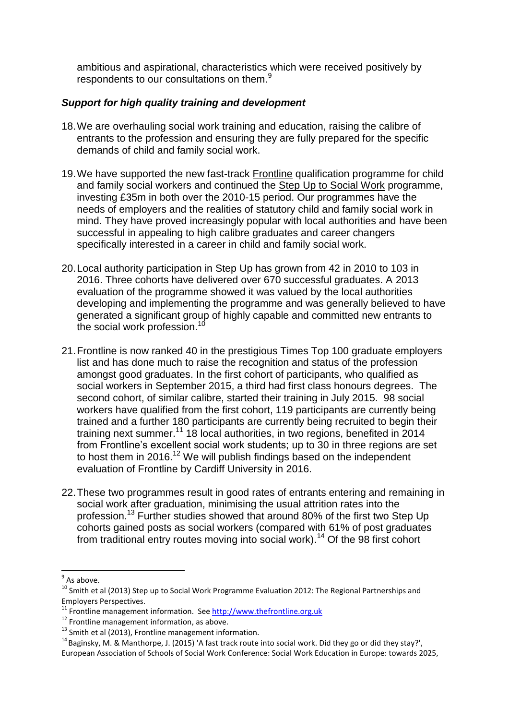ambitious and aspirational, characteristics which were received positively by respondents to our consultations on them.<sup>9</sup>

### *Support for high quality training and development*

- 18.We are overhauling social work training and education, raising the calibre of entrants to the profession and ensuring they are fully prepared for the specific demands of child and family social work.
- 19.We have supported the new fast-track Frontline qualification programme for child and family social workers and continued the Step Up to Social Work programme, investing £35m in both over the 2010-15 period. Our programmes have the needs of employers and the realities of statutory child and family social work in mind. They have proved increasingly popular with local authorities and have been successful in appealing to high calibre graduates and career changers specifically interested in a career in child and family social work.
- 20.Local authority participation in Step Up has grown from 42 in 2010 to 103 in 2016. Three cohorts have delivered over 670 successful graduates. A 2013 evaluation of the programme showed it was valued by the local authorities developing and implementing the programme and was generally believed to have generated a significant group of highly capable and committed new entrants to the social work profession.<sup>10</sup>
- 21.Frontline is now ranked 40 in the prestigious Times Top 100 graduate employers list and has done much to raise the recognition and status of the profession amongst good graduates. In the first cohort of participants, who qualified as social workers in September 2015, a third had first class honours degrees. The second cohort, of similar calibre, started their training in July 2015. 98 social workers have qualified from the first cohort, 119 participants are currently being trained and a further 180 participants are currently being recruited to begin their training next summer.<sup>11</sup> 18 local authorities, in two regions, benefited in 2014 from Frontline's excellent social work students; up to 30 in three regions are set to host them in 2016.<sup>12</sup> We will publish findings based on the independent evaluation of Frontline by Cardiff University in 2016.
- 22.These two programmes result in good rates of entrants entering and remaining in social work after graduation, minimising the usual attrition rates into the profession.<sup>13</sup> Further studies showed that around 80% of the first two Step Up cohorts gained posts as social workers (compared with 61% of post graduates from traditional entry routes moving into social work).<sup>14</sup> Of the 98 first cohort

 $\frac{1}{9}$  As above.

<sup>10</sup> Smith et al (2013) Step up to Social Work Programme Evaluation 2012: The Regional Partnerships and Employers Perspectives.

 $11$  Frontline management information. See [http://www.thefrontline.org.uk](http://www.thefrontline.org.uk/)

<sup>&</sup>lt;sup>12</sup> Frontline management information, as above.

 $13$  Smith et al (2013), Frontline management information.

<sup>14</sup> Baginsky, M. & Manthorpe, J. (2015) ['A fast track route into social work. Did they go or did they stay?',](http://www.kcl.ac.uk/sspp/policy-institute/scwru/pubs/2015/conf/baginsky30jun15.pdf)  European Association of Schools of Social Work Conference: Social Work Education in Europe: towards 2025,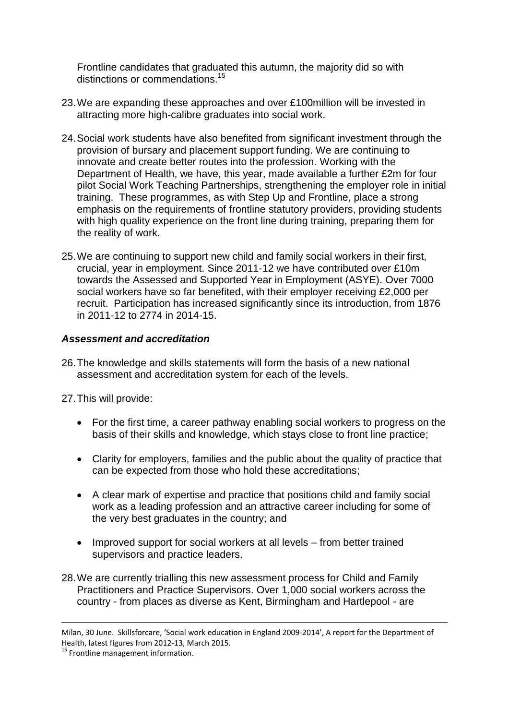Frontline candidates that graduated this autumn, the majority did so with distinctions or commendations.<sup>15</sup>

- 23.We are expanding these approaches and over £100million will be invested in attracting more high-calibre graduates into social work.
- 24.Social work students have also benefited from significant investment through the provision of bursary and placement support funding. We are continuing to innovate and create better routes into the profession. Working with the Department of Health, we have, this year, made available a further £2m for four pilot Social Work Teaching Partnerships, strengthening the employer role in initial training. These programmes, as with Step Up and Frontline, place a strong emphasis on the requirements of frontline statutory providers, providing students with high quality experience on the front line during training, preparing them for the reality of work.
- 25.We are continuing to support new child and family social workers in their first, crucial, year in employment. Since 2011-12 we have contributed over £10m towards the Assessed and Supported Year in Employment (ASYE). Over 7000 social workers have so far benefited, with their employer receiving £2,000 per recruit. Participation has increased significantly since its introduction, from 1876 in 2011-12 to 2774 in 2014-15.

### *Assessment and accreditation*

26.The knowledge and skills statements will form the basis of a new national assessment and accreditation system for each of the levels.

27.This will provide:

- For the first time, a career pathway enabling social workers to progress on the basis of their skills and knowledge, which stays close to front line practice;
- Clarity for employers, families and the public about the quality of practice that can be expected from those who hold these accreditations;
- A clear mark of expertise and practice that positions child and family social work as a leading profession and an attractive career including for some of the very best graduates in the country; and
- Improved support for social workers at all levels from better trained supervisors and practice leaders.
- 28.We are currently trialling this new assessment process for Child and Family Practitioners and Practice Supervisors. Over 1,000 social workers across the country - from places as diverse as Kent, Birmingham and Hartlepool - are

**.** 

Milan, 30 June. Skillsforcare, 'Social work education in England 2009-2014', A report for the Department of Health, latest figures from 2012-13, March 2015.

<sup>&</sup>lt;sup>15</sup> Frontline management information.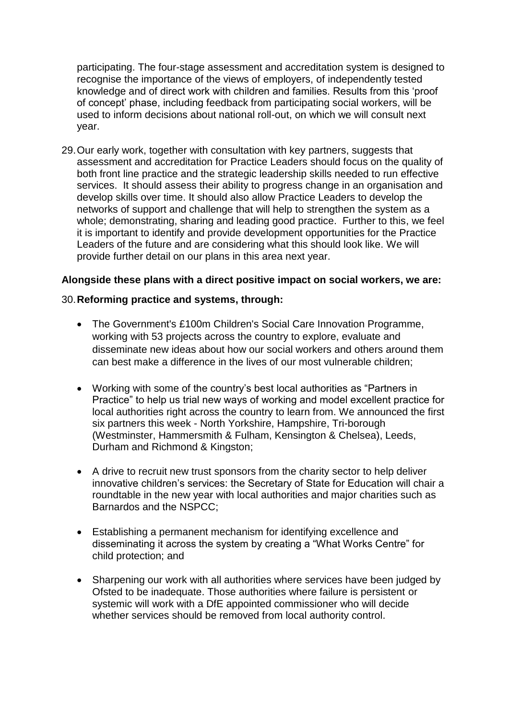participating. The four-stage assessment and accreditation system is designed to recognise the importance of the views of employers, of independently tested knowledge and of direct work with children and families. Results from this 'proof of concept' phase, including feedback from participating social workers, will be used to inform decisions about national roll-out, on which we will consult next year.

29.Our early work, together with consultation with key partners, suggests that assessment and accreditation for Practice Leaders should focus on the quality of both front line practice and the strategic leadership skills needed to run effective services. It should assess their ability to progress change in an organisation and develop skills over time. It should also allow Practice Leaders to develop the networks of support and challenge that will help to strengthen the system as a whole; demonstrating, sharing and leading good practice. Further to this, we feel it is important to identify and provide development opportunities for the Practice Leaders of the future and are considering what this should look like. We will provide further detail on our plans in this area next year.

### **Alongside these plans with a direct positive impact on social workers, we are:**

#### 30.**Reforming practice and systems, through:**

- The Government's £100m Children's Social Care Innovation Programme, working with 53 projects across the country to explore, evaluate and disseminate new ideas about how our social workers and others around them can best make a difference in the lives of our most vulnerable children;
- Working with some of the country's best local authorities as "Partners in Practice" to help us trial new ways of working and model excellent practice for local authorities right across the country to learn from. We announced the first six partners this week - North Yorkshire, Hampshire, Tri-borough (Westminster, Hammersmith & Fulham, Kensington & Chelsea), Leeds, Durham and Richmond & Kingston;
- A drive to recruit new trust sponsors from the charity sector to help deliver innovative children's services: the Secretary of State for Education will chair a roundtable in the new year with local authorities and major charities such as Barnardos and the NSPCC;
- Establishing a permanent mechanism for identifying excellence and disseminating it across the system by creating a "What Works Centre" for child protection; and
- Sharpening our work with all authorities where services have been judged by Ofsted to be inadequate. Those authorities where failure is persistent or systemic will work with a DfE appointed commissioner who will decide whether services should be removed from local authority control.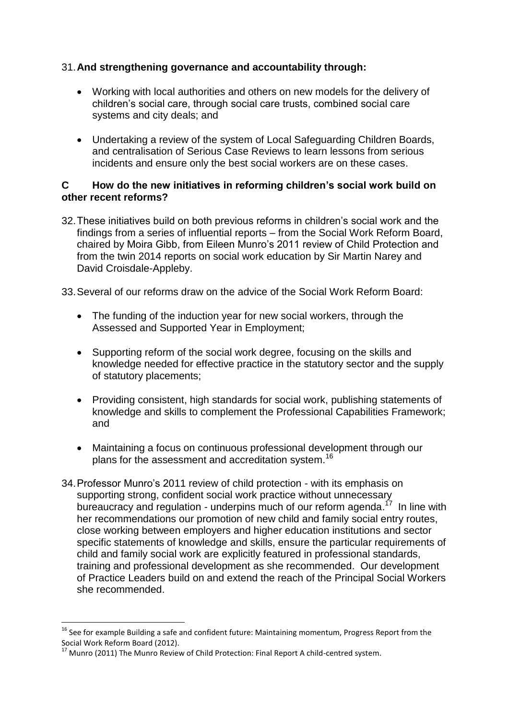# 31.**And strengthening governance and accountability through:**

- Working with local authorities and others on new models for the delivery of children's social care, through social care trusts, combined social care systems and city deals; and
- Undertaking a review of the system of Local Safeguarding Children Boards, and centralisation of Serious Case Reviews to learn lessons from serious incidents and ensure only the best social workers are on these cases.

#### **C How do the new initiatives in reforming children's social work build on other recent reforms?**

32.These initiatives build on both previous reforms in children's social work and the findings from a series of influential reports – from the Social Work Reform Board, chaired by Moira Gibb, from Eileen Munro's 2011 review of Child Protection and from the twin 2014 reports on social work education by Sir Martin Narey and David Croisdale-Appleby.

33.Several of our reforms draw on the advice of the Social Work Reform Board:

- The funding of the induction year for new social workers, through the Assessed and Supported Year in Employment;
- Supporting reform of the social work degree, focusing on the skills and knowledge needed for effective practice in the statutory sector and the supply of statutory placements;
- Providing consistent, high standards for social work, publishing statements of knowledge and skills to complement the Professional Capabilities Framework; and
- Maintaining a focus on continuous professional development through our plans for the assessment and accreditation system.<sup>16</sup>
- 34.Professor Munro's 2011 review of child protection with its emphasis on supporting strong, confident social work practice without unnecessary bureaucracy and regulation - underpins much of our reform agenda.<sup>17</sup> In line with her recommendations our promotion of new child and family social entry routes, close working between employers and higher education institutions and sector specific statements of knowledge and skills, ensure the particular requirements of child and family social work are explicitly featured in professional standards, training and professional development as she recommended. Our development of Practice Leaders build on and extend the reach of the Principal Social Workers she recommended.

**.** 

<sup>&</sup>lt;sup>16</sup> See for example Building a safe and confident future: Maintaining momentum, Progress Report from the Social Work Reform Board (2012).

<sup>&</sup>lt;sup>17</sup> Munro (2011) The Munro Review of Child Protection: Final Report A child-centred system.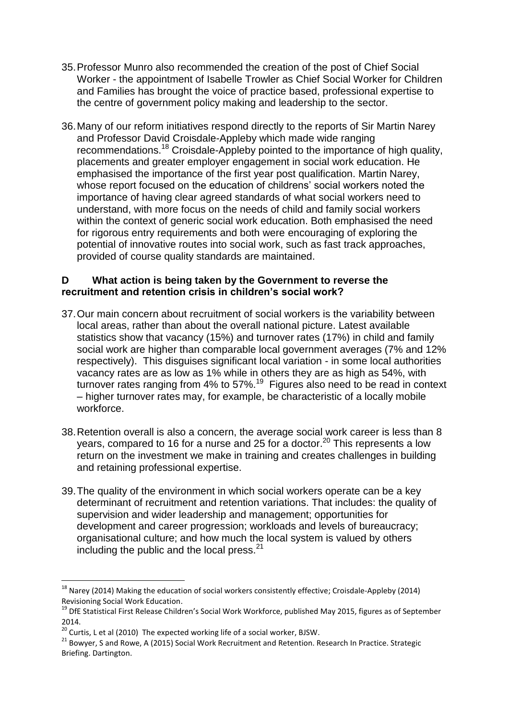- 35.Professor Munro also recommended the creation of the post of Chief Social Worker - the appointment of Isabelle Trowler as Chief Social Worker for Children and Families has brought the voice of practice based, professional expertise to the centre of government policy making and leadership to the sector.
- 36.Many of our reform initiatives respond directly to the reports of Sir Martin Narey and Professor David Croisdale-Appleby which made wide ranging recommendations.<sup>18</sup> Croisdale-Appleby pointed to the importance of high quality, placements and greater employer engagement in social work education. He emphasised the importance of the first year post qualification. Martin Narey, whose report focused on the education of childrens' social workers noted the importance of having clear agreed standards of what social workers need to understand, with more focus on the needs of child and family social workers within the context of generic social work education. Both emphasised the need for rigorous entry requirements and both were encouraging of exploring the potential of innovative routes into social work, such as fast track approaches, provided of course quality standards are maintained.

### **D What action is being taken by the Government to reverse the recruitment and retention crisis in children's social work?**

- 37.Our main concern about recruitment of social workers is the variability between local areas, rather than about the overall national picture. Latest available statistics show that vacancy (15%) and turnover rates (17%) in child and family social work are higher than comparable local government averages (7% and 12% respectively). This disguises significant local variation - in some local authorities vacancy rates are as low as 1% while in others they are as high as 54%, with turnover rates ranging from 4% to 57%.<sup>19</sup> Figures also need to be read in context – higher turnover rates may, for example, be characteristic of a locally mobile workforce.
- 38.Retention overall is also a concern, the average social work career is less than 8 years, compared to 16 for a nurse and 25 for a doctor.<sup>20</sup> This represents a low return on the investment we make in training and creates challenges in building and retaining professional expertise.
- 39.The quality of the environment in which social workers operate can be a key determinant of recruitment and retention variations. That includes: the quality of supervision and wider leadership and management; opportunities for development and career progression; workloads and levels of bureaucracy; organisational culture; and how much the local system is valued by others including the public and the local press. $21$

 $\overline{\phantom{a}}$ 

 $^{18}$  Narey (2014) Making the education of social workers consistently effective; Croisdale-Appleby (2014) Revisioning Social Work Education.

<sup>&</sup>lt;sup>19</sup> DfE Statistical First Release Children's Social Work Workforce, published May 2015, figures as of September 2014.

 $\frac{20}{20}$  Curtis, L et al (2010) The expected working life of a social worker, BJSW.

<sup>21</sup> Bowyer, S and Rowe, A (2015) Social Work Recruitment and Retention. Research In Practice. Strategic Briefing. Dartington.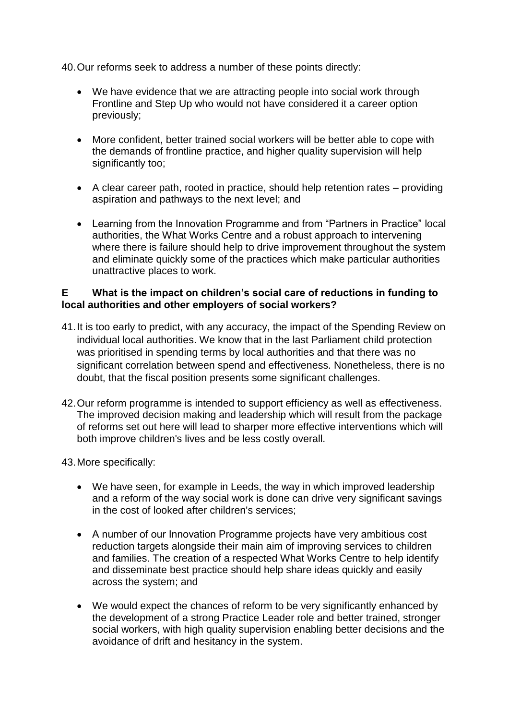40.Our reforms seek to address a number of these points directly:

- We have evidence that we are attracting people into social work through Frontline and Step Up who would not have considered it a career option previously;
- More confident, better trained social workers will be better able to cope with the demands of frontline practice, and higher quality supervision will help significantly too;
- A clear career path, rooted in practice, should help retention rates providing aspiration and pathways to the next level; and
- Learning from the Innovation Programme and from "Partners in Practice" local authorities, the What Works Centre and a robust approach to intervening where there is failure should help to drive improvement throughout the system and eliminate quickly some of the practices which make particular authorities unattractive places to work.

## **E What is the impact on children's social care of reductions in funding to local authorities and other employers of social workers?**

- 41.It is too early to predict, with any accuracy, the impact of the Spending Review on individual local authorities. We know that in the last Parliament child protection was prioritised in spending terms by local authorities and that there was no significant correlation between spend and effectiveness. Nonetheless, there is no doubt, that the fiscal position presents some significant challenges.
- 42.Our reform programme is intended to support efficiency as well as effectiveness. The improved decision making and leadership which will result from the package of reforms set out here will lead to sharper more effective interventions which will both improve children's lives and be less costly overall.

#### 43.More specifically:

- We have seen, for example in Leeds, the way in which improved leadership and a reform of the way social work is done can drive very significant savings in the cost of looked after children's services;
- A number of our Innovation Programme projects have very ambitious cost reduction targets alongside their main aim of improving services to children and families. The creation of a respected What Works Centre to help identify and disseminate best practice should help share ideas quickly and easily across the system; and
- We would expect the chances of reform to be very significantly enhanced by the development of a strong Practice Leader role and better trained, stronger social workers, with high quality supervision enabling better decisions and the avoidance of drift and hesitancy in the system.